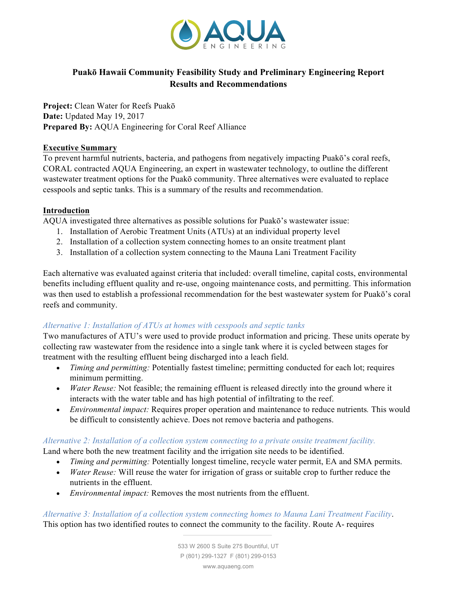

# **Puakō Hawaii Community Feasibility Study and Preliminary Engineering Report Results and Recommendations**

**Project:** Clean Water for Reefs Puakō **Date:** Updated May 19, 2017 **Prepared By:** AQUA Engineering for Coral Reef Alliance

#### **Executive Summary**

To prevent harmful nutrients, bacteria, and pathogens from negatively impacting Puakō's coral reefs, CORAL contracted AQUA Engineering, an expert in wastewater technology, to outline the different wastewater treatment options for the Puakō community. Three alternatives were evaluated to replace cesspools and septic tanks. This is a summary of the results and recommendation.

#### **Introduction**

AQUA investigated three alternatives as possible solutions for Puakō's wastewater issue:

- 1. Installation of Aerobic Treatment Units (ATUs) at an individual property level
- 2. Installation of a collection system connecting homes to an onsite treatment plant
- 3. Installation of a collection system connecting to the Mauna Lani Treatment Facility

Each alternative was evaluated against criteria that included: overall timeline, capital costs, environmental benefits including effluent quality and re-use, ongoing maintenance costs, and permitting. This information was then used to establish a professional recommendation for the best wastewater system for Puakō's coral reefs and community.

#### *Alternative 1: Installation of ATUs at homes with cesspools and septic tanks*

Two manufactures of ATU's were used to provide product information and pricing. These units operate by collecting raw wastewater from the residence into a single tank where it is cycled between stages for treatment with the resulting effluent being discharged into a leach field.

- *Timing and permitting:* Potentially fastest timeline; permitting conducted for each lot; requires minimum permitting.
- *Water Reuse:* Not feasible; the remaining effluent is released directly into the ground where it interacts with the water table and has high potential of infiltrating to the reef.
- *Environmental impact:* Requires proper operation and maintenance to reduce nutrients*.* This would be difficult to consistently achieve. Does not remove bacteria and pathogens.

#### *Alternative 2: Installation of a collection system connecting to a private onsite treatment facility.*

Land where both the new treatment facility and the irrigation site needs to be identified.

- *Timing and permitting:* Potentially longest timeline, recycle water permit, EA and SMA permits.
- *Water Reuse:* Will reuse the water for irrigation of grass or suitable crop to further reduce the nutrients in the effluent.
- *Environmental impact:* Removes the most nutrients from the effluent.

*Alternative 3: Installation of a collection system connecting homes to Mauna Lani Treatment Facility*. This option has two identified routes to connect the community to the facility. Route A- requires